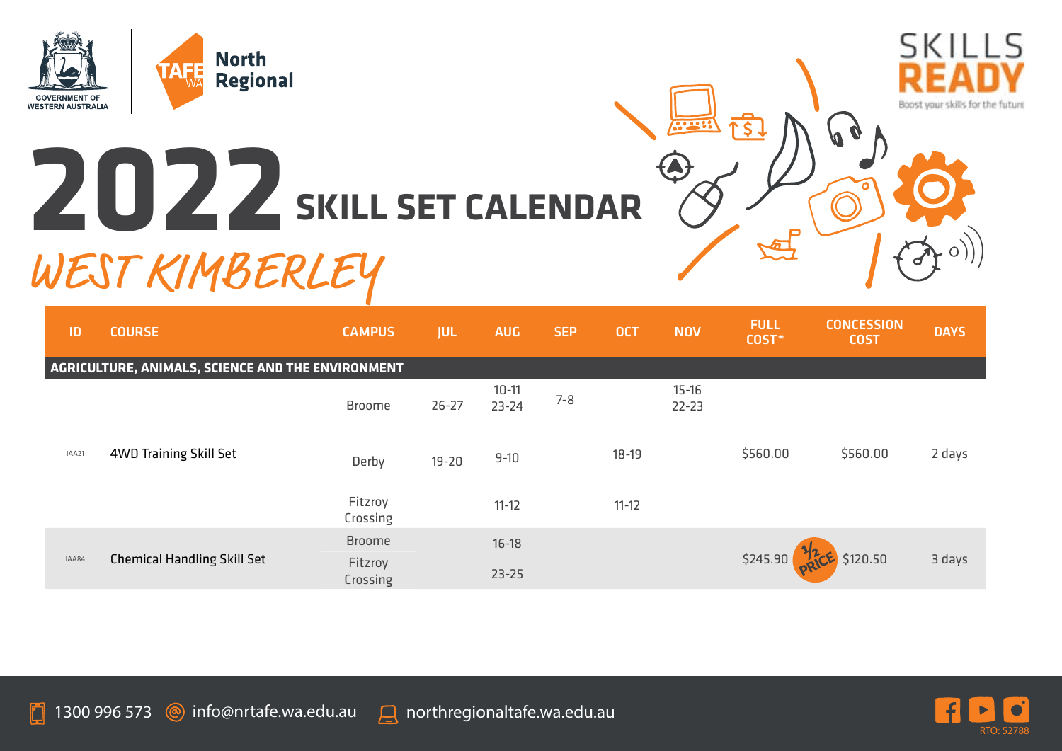

## **2022 SKILL SET CALENDAR**



| ID                                                | <b>COURSE</b>                      | <b>CAMPUS</b>       | <b>JUL</b> | <b>AUG</b>             | <b>SEP</b> | <b>OCT</b> | <b>NOV</b>             | <b>FULL</b><br>COST*           | <b>CONCESSION</b><br><b>COST</b> | <b>DAYS</b> |
|---------------------------------------------------|------------------------------------|---------------------|------------|------------------------|------------|------------|------------------------|--------------------------------|----------------------------------|-------------|
| AGRICULTURE, ANIMALS, SCIENCE AND THE ENVIRONMENT |                                    |                     |            |                        |            |            |                        |                                |                                  |             |
| IAA21                                             | 4WD Training Skill Set             | <b>Broome</b>       | $26 - 27$  | $10 - 11$<br>$23 - 24$ | $7 - 8$    |            | $15 - 16$<br>$22 - 23$ |                                |                                  |             |
|                                                   |                                    | Derby               | $19 - 20$  | $9 - 10$               |            | $18 - 19$  |                        | \$560.00                       | \$560.00                         | 2 days      |
|                                                   |                                    | Fitzroy<br>Crossing |            | $11 - 12$              |            | $11 - 12$  |                        |                                |                                  |             |
| IAA84                                             | <b>Chemical Handling Skill Set</b> | <b>Broome</b>       |            | $16 - 18$              |            |            |                        |                                |                                  |             |
|                                                   |                                    | Fitzroy<br>Crossing |            | $23 - 25$              |            |            |                        | \$245.90 <b>PRICE</b> \$120.50 |                                  | 3 days      |



Boost your skills for the future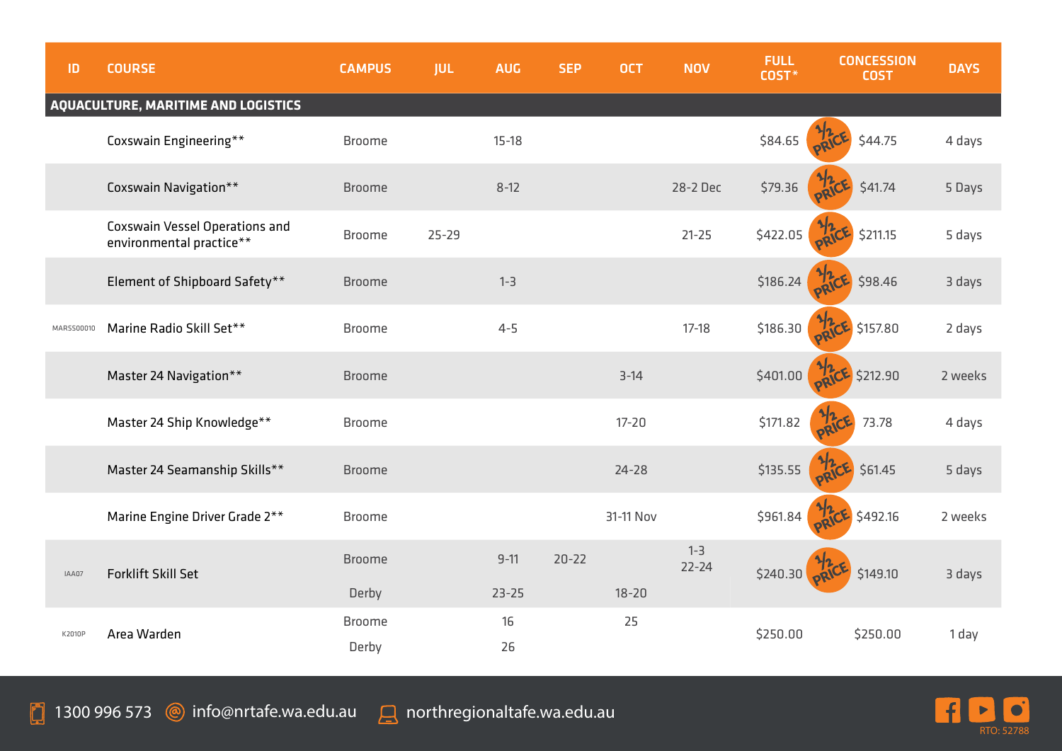| ID         | <b>COURSE</b>                                                     | <b>CAMPUS</b>          | <b>JUL</b> | <b>AUG</b> | <b>SEP</b> | <b>OCT</b> | <b>NOV</b>           | <b>FULL</b><br>COST* | <b>CONCESSION</b><br><b>COST</b> | <b>DAYS</b> |
|------------|-------------------------------------------------------------------|------------------------|------------|------------|------------|------------|----------------------|----------------------|----------------------------------|-------------|
|            | AQUACULTURE, MARITIME AND LOGISTICS                               |                        |            |            |            |            |                      |                      |                                  |             |
|            | Coxswain Engineering**                                            | <b>Broome</b>          |            | $15-18$    |            |            |                      | \$84.65              | \$44.75                          | 4 days      |
|            | Coxswain Navigation**                                             | <b>Broome</b>          |            | $8 - 12$   |            |            | 28-2 Dec             | \$79.36              | \$41.74                          | 5 Days      |
|            | <b>Coxswain Vessel Operations and</b><br>environmental practice** | <b>Broome</b>          | $25 - 29$  |            |            |            | $21 - 25$            | \$422.05             | \$211.15                         | 5 days      |
|            | Element of Shipboard Safety**                                     | <b>Broome</b>          |            | $1 - 3$    |            |            |                      | \$186.24             | \$98.46                          | 3 days      |
| MARSS00010 | Marine Radio Skill Set**                                          | <b>Broome</b>          |            | $4 - 5$    |            |            | $17-18$              | \$186.30             | \$157.80                         | 2 days      |
|            | Master 24 Navigation**                                            | <b>Broome</b>          |            |            |            | $3-14$     |                      | \$401.00             | \$212.90                         | 2 weeks     |
|            | Master 24 Ship Knowledge**                                        | <b>Broome</b>          |            |            |            | $17 - 20$  |                      | \$171.82             | 73.78                            | 4 days      |
|            | Master 24 Seamanship Skills**                                     | <b>Broome</b>          |            |            |            | $24 - 28$  |                      | \$135.55             | \$61.45                          | 5 days      |
|            | Marine Engine Driver Grade 2**                                    | <b>Broome</b>          |            |            |            | 31-11 Nov  |                      | \$961.84             | \$492.16                         | 2 weeks     |
| IAA07      | <b>Forklift Skill Set</b>                                         | <b>Broome</b>          |            | $9 - 11$   | $20 - 22$  |            | $1 - 3$<br>$22 - 24$ | \$240.30             | \$149.10<br>oRV                  | 3 days      |
|            |                                                                   | Derby                  |            | $23 - 25$  |            | $18 - 20$  |                      |                      |                                  |             |
| K2010P     | Area Warden                                                       | <b>Broome</b><br>Derby |            | 16<br>26   |            | 25         |                      | \$250.00             | \$250.00                         | 1 day       |

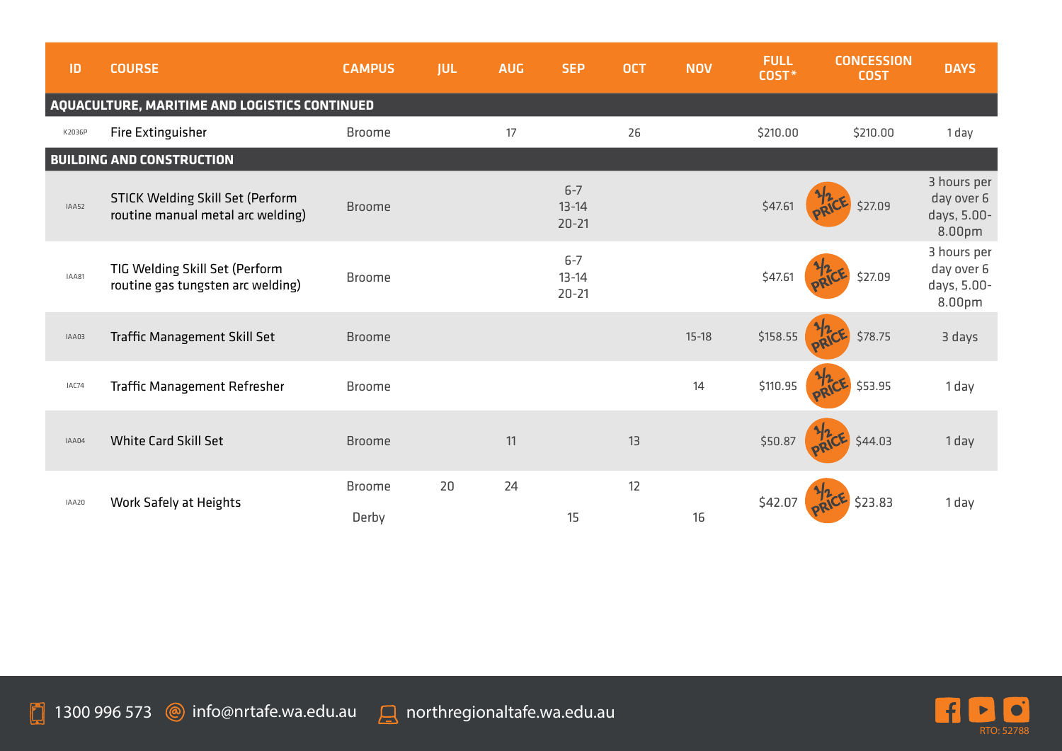| ID                                            | <b>COURSE</b>                                                                | <b>CAMPUS</b>          | <b>JUL</b> | <b>AUG</b> | <b>SEP</b>                        | <b>OCT</b> | <b>NOV</b> | <b>FULL</b><br>COST* | <b>CONCESSION</b><br><b>COST</b> | <b>DAYS</b>                                        |
|-----------------------------------------------|------------------------------------------------------------------------------|------------------------|------------|------------|-----------------------------------|------------|------------|----------------------|----------------------------------|----------------------------------------------------|
| AQUACULTURE, MARITIME AND LOGISTICS CONTINUED |                                                                              |                        |            |            |                                   |            |            |                      |                                  |                                                    |
| K2036P                                        | Fire Extinguisher                                                            | <b>Broome</b>          |            | 17         |                                   | 26         |            | \$210.00             | \$210.00                         | 1 day                                              |
|                                               | <b>BUILDING AND CONSTRUCTION</b>                                             |                        |            |            |                                   |            |            |                      |                                  |                                                    |
| IAA52                                         | <b>STICK Welding Skill Set (Perform</b><br>routine manual metal arc welding) | <b>Broome</b>          |            |            | $6 - 7$<br>$13 - 14$<br>$20 - 21$ |            |            | \$47.61              | \$27.09                          | 3 hours per<br>day over 6<br>days, 5.00-<br>8.00pm |
| IAA81                                         | TIG Welding Skill Set (Perform<br>routine gas tungsten arc welding)          | <b>Broome</b>          |            |            | $6 - 7$<br>$13 - 14$<br>$20 - 21$ |            |            | \$47.61              | \$27.09                          | 3 hours per<br>day over 6<br>days, 5.00-<br>8.00pm |
| IAA03                                         | Traffic Management Skill Set                                                 | <b>Broome</b>          |            |            |                                   |            | $15 - 18$  | \$158.55             | \$78.75                          | 3 days                                             |
| IAC74                                         | <b>Traffic Management Refresher</b>                                          | <b>Broome</b>          |            |            |                                   |            | 14         | \$110.95             | \$53.95                          | 1 day                                              |
| IAA04                                         | <b>White Card Skill Set</b>                                                  | <b>Broome</b>          |            | 11         |                                   | 13         |            | \$50.87              | \$44.03                          | 1 day                                              |
| IAA20                                         | Work Safely at Heights                                                       | <b>Broome</b><br>Derby | 20         | 24         | 15                                | 12         | 16         | \$42.07              | \$23.83                          | 1 day                                              |

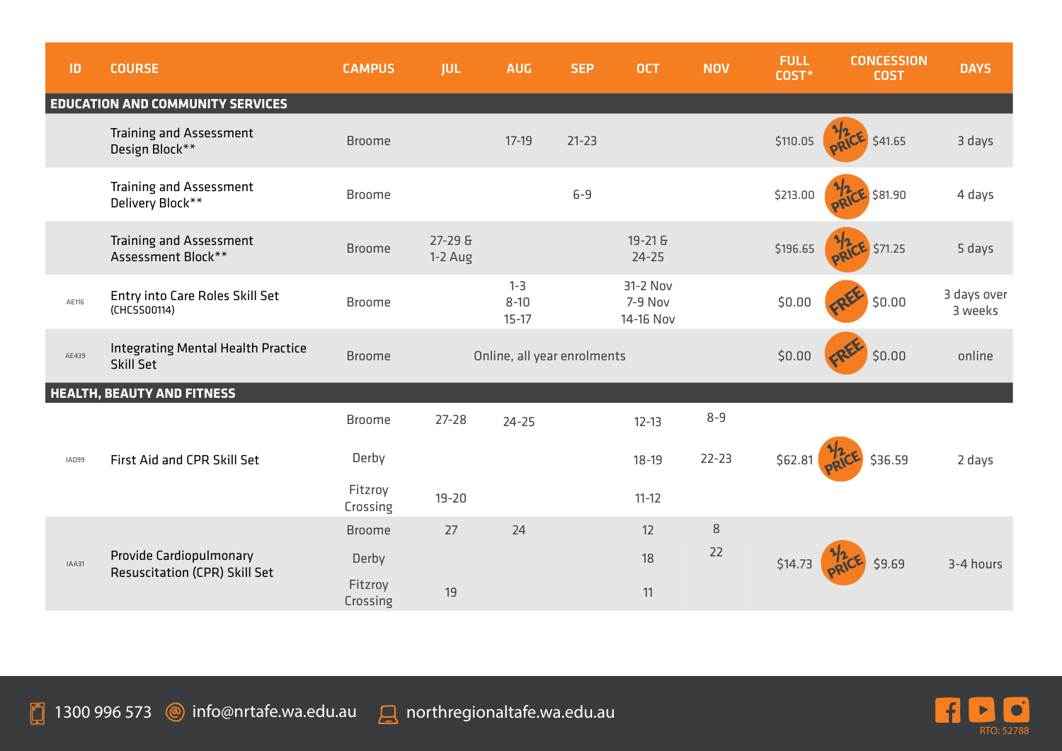| ID    | <b>COURSE</b>                                            | <b>CAMPUS</b>       | <b>JUL</b>           | <b>AUG</b>                       | <b>SEP</b> | <b>OCT</b>                       | <b>NOV</b> | <b>FULL</b><br>COST* | <b>CONCESSION</b><br><b>COST</b> | <b>DAYS</b>            |
|-------|----------------------------------------------------------|---------------------|----------------------|----------------------------------|------------|----------------------------------|------------|----------------------|----------------------------------|------------------------|
|       | <b>EDUCATION AND COMMUNITY SERVICES</b>                  |                     |                      |                                  |            |                                  |            |                      |                                  |                        |
|       | <b>Training and Assessment</b><br>Design Block**         | <b>Broome</b>       |                      | $17-19$                          | $21 - 23$  |                                  |            | \$110.05             | \$41.65                          | 3 days                 |
|       | Training and Assessment<br>Delivery Block**              | <b>Broome</b>       |                      |                                  | $6-9$      |                                  |            | \$213.00             | $CE$ \$81.90                     | 4 days                 |
|       | Training and Assessment<br>Assessment Block**            | <b>Broome</b>       | 27-29 &<br>$1-2$ Aug |                                  |            | 19-21 &<br>$24 - 25$             |            | \$196.65             | <b>RICE</b> \$71.25              | 5 days                 |
| AE116 | Entry into Care Roles Skill Set<br>(CHCSS00114)          | <b>Broome</b>       |                      | $1 - 3$<br>$8 - 10$<br>$15 - 17$ |            | 31-2 Nov<br>7-9 Nov<br>14-16 Nov |            | \$0.00               | \$0.00                           | 3 days over<br>3 weeks |
| AE439 | Integrating Mental Health Practice<br>Skill Set          | <b>Broome</b>       |                      | Online, all year enrolments      |            |                                  |            | \$0.00               | \$0.00                           | online                 |
|       | <b>HEALTH, BEAUTY AND FITNESS</b>                        |                     |                      |                                  |            |                                  |            |                      |                                  |                        |
|       |                                                          | <b>Broome</b>       | $27 - 28$            | $24 - 25$                        |            | $12 - 13$                        | $8 - 9$    |                      |                                  |                        |
| IAD99 | First Aid and CPR Skill Set                              | Derby               |                      |                                  |            | $18 - 19$                        | $22 - 23$  | \$62.81              | \$36.59                          | 2 days                 |
|       |                                                          | Fitzroy<br>Crossing | $19 - 20$            |                                  |            | $11 - 12$                        |            |                      |                                  |                        |
|       |                                                          | <b>Broome</b>       | 27                   | 24                               |            | 12                               | $\,8\,$    |                      |                                  |                        |
| IAA31 | Provide Cardiopulmonary<br>Resuscitation (CPR) Skill Set | Derby               |                      |                                  |            | 18                               | 22         | \$14.73              | \$9.69                           | 3-4 hours              |
|       |                                                          | Fitzroy<br>Crossing | 19                   |                                  |            | 11                               |            |                      |                                  |                        |